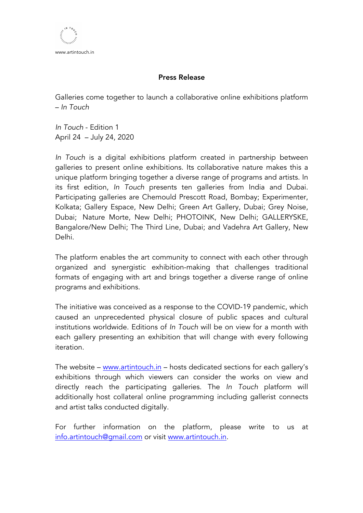www.artintouch.in

## Press Release

Galleries come together to launch a collaborative online exhibitions platform – *In Touch*

*In Touch* - Edition 1 April 24 – July 24, 2020

*In Touch* is a digital exhibitions platform created in partnership between galleries to present online exhibitions. Its collaborative nature makes this a unique platform bringing together a diverse range of programs and artists. In its first edition, *In Touch* presents ten galleries from India and Dubai. Participating galleries are Chemould Prescott Road, Bombay; Experimenter, Kolkata; Gallery Espace, New Delhi; Green Art Gallery, Dubai; Grey Noise, Dubai; Nature Morte, New Delhi; PHOTOINK, New Delhi; GALLERYSKE, Bangalore/New Delhi; The Third Line, Dubai; and Vadehra Art Gallery, New Delhi.

The platform enables the art community to connect with each other through organized and synergistic exhibition-making that challenges traditional formats of engaging with art and brings together a diverse range of online programs and exhibitions.

The initiative was conceived as a response to the COVID-19 pandemic, which caused an unprecedented physical closure of public spaces and cultural institutions worldwide. Editions of *In Touch* will be on view for a month with each gallery presenting an exhibition that will change with every following iteration.

The website – www.artintouch.in – hosts dedicated sections for each gallery's exhibitions through which viewers can consider the works on view and directly reach the participating galleries. The *In Touch* platform will additionally host collateral online programming including gallerist connects and artist talks conducted digitally.

For further information on the platform, please write to us at info.artintouch@gmail.com or visit www.artintouch.in.